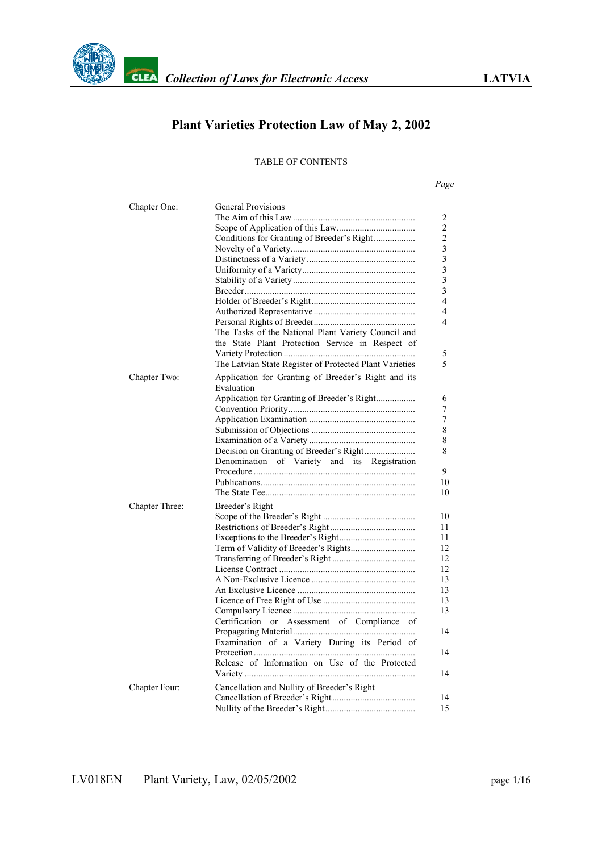

# **Plant Varieties Protection Law of May 2, 2002**

#### TABLE OF CONTENTS

#### *Page*

| Chapter One:   | <b>General Provisions</b>                                         |
|----------------|-------------------------------------------------------------------|
|                |                                                                   |
|                |                                                                   |
|                | Conditions for Granting of Breeder's Right                        |
|                |                                                                   |
|                |                                                                   |
|                |                                                                   |
|                |                                                                   |
|                |                                                                   |
|                |                                                                   |
|                |                                                                   |
|                |                                                                   |
|                | The Tasks of the National Plant Variety Council and               |
|                | the State Plant Protection Service in Respect of                  |
|                |                                                                   |
|                | The Latvian State Register of Protected Plant Varieties           |
|                |                                                                   |
| Chapter Two:   | Application for Granting of Breeder's Right and its<br>Evaluation |
|                | Application for Granting of Breeder's Right                       |
|                |                                                                   |
|                |                                                                   |
|                |                                                                   |
|                |                                                                   |
|                |                                                                   |
|                | and its Registration<br>Denomination<br>of Variety                |
|                |                                                                   |
|                |                                                                   |
|                |                                                                   |
|                |                                                                   |
| Chapter Three: | Breeder's Right                                                   |
|                |                                                                   |
|                |                                                                   |
|                |                                                                   |
|                |                                                                   |
|                |                                                                   |
|                |                                                                   |
|                |                                                                   |
|                |                                                                   |
|                |                                                                   |
|                |                                                                   |
|                | Certification or Assessment of Compliance of                      |
|                |                                                                   |
|                | Examination of a Variety During its Period of                     |
|                |                                                                   |
|                |                                                                   |
|                | Release of Information on Use of the Protected                    |
| Chapter Four:  | Cancellation and Nullity of Breeder's Right                       |
|                |                                                                   |
|                |                                                                   |
|                |                                                                   |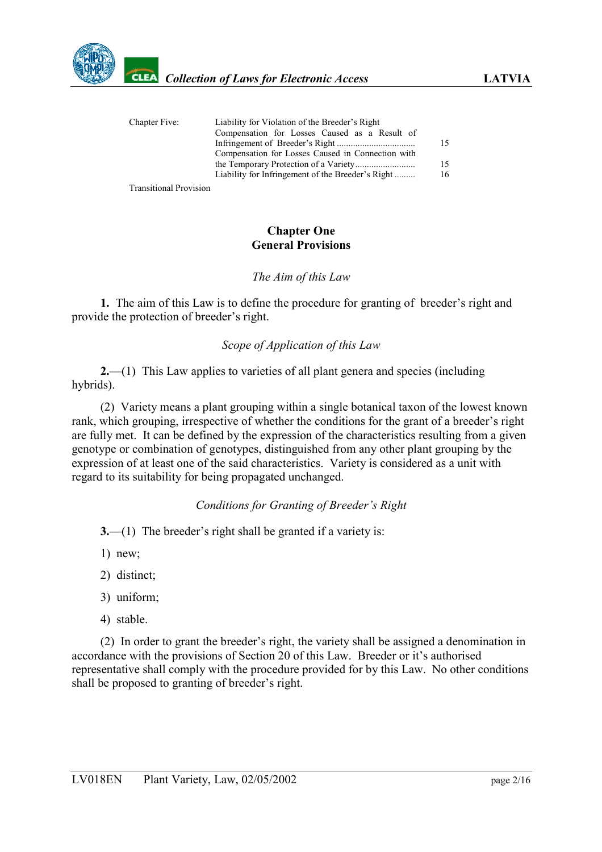

| Chapter Five: | Liability for Violation of the Breeder's Right    |    |
|---------------|---------------------------------------------------|----|
|               | Compensation for Losses Caused as a Result of     |    |
|               |                                                   | 15 |
|               | Compensation for Losses Caused in Connection with |    |
|               |                                                   | 15 |
|               | Liability for Infringement of the Breeder's Right | 16 |
|               |                                                   |    |

Transitional Provision

#### **Chapter One General Provisions**

### <span id="page-1-0"></span>*The Aim of this Law*

**1.** The aim of this Law is to define the procedure for granting of breeder's right and provide the protection of breeder's right.

# <span id="page-1-1"></span>*Scope of Application of this Law*

**2.**—(1) This Law applies to varieties of all plant genera and species (including hybrids).

(2) Variety means a plant grouping within a single botanical taxon of the lowest known rank, which grouping, irrespective of whether the conditions for the grant of a breeder's right are fully met. It can be defined by the expression of the characteristics resulting from a given genotype or combination of genotypes, distinguished from any other plant grouping by the expression of at least one of the said characteristics. Variety is considered as a unit with regard to its suitability for being propagated unchanged.

# <span id="page-1-2"></span>*Conditions for Granting of Breeder's Right*

- **3.**—(1) The breeder's right shall be granted if a variety is:
- 1) new;
- 2) distinct;
- 3) uniform;
- 4) stable.

(2) In order to grant the breeder's right, the variety shall be assigned a denomination in accordance with the provisions of Section 20 of this Law. Breeder or it's authorised representative shall comply with the procedure provided for by this Law. No other conditions shall be proposed to granting of breeder's right.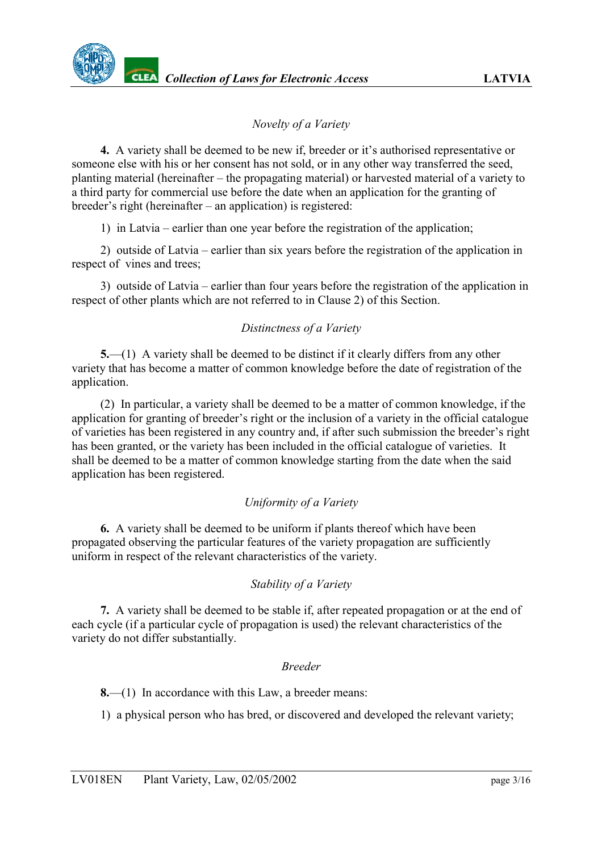# <span id="page-2-0"></span>*Novelty of a Variety*

**4.** A variety shall be deemed to be new if, breeder or it's authorised representative or someone else with his or her consent has not sold, or in any other way transferred the seed, planting material (hereinafter – the propagating material) or harvested material of a variety to a third party for commercial use before the date when an application for the granting of breeder's right (hereinafter – an application) is registered:

1) in Latvia – earlier than one year before the registration of the application;

2) outside of Latvia – earlier than six years before the registration of the application in respect of vines and trees;

3) outside of Latvia – earlier than four years before the registration of the application in respect of other plants which are not referred to in Clause 2) of this Section.

### <span id="page-2-1"></span>*Distinctness of a Variety*

**5.**—(1) A variety shall be deemed to be distinct if it clearly differs from any other variety that has become a matter of common knowledge before the date of registration of the application.

(2) In particular, a variety shall be deemed to be a matter of common knowledge, if the application for granting of breeder's right or the inclusion of a variety in the official catalogue of varieties has been registered in any country and, if after such submission the breeder's right has been granted, or the variety has been included in the official catalogue of varieties. It shall be deemed to be a matter of common knowledge starting from the date when the said application has been registered.

#### <span id="page-2-2"></span>*Uniformity of a Variety*

**6.** A variety shall be deemed to be uniform if plants thereof which have been propagated observing the particular features of the variety propagation are sufficiently uniform in respect of the relevant characteristics of the variety.

#### <span id="page-2-3"></span>*Stability of a Variety*

**7.** A variety shall be deemed to be stable if, after repeated propagation or at the end of each cycle (if a particular cycle of propagation is used) the relevant characteristics of the variety do not differ substantially.

#### <span id="page-2-4"></span>*Breeder*

**8.**—(1) In accordance with this Law, a breeder means:

1) a physical person who has bred, or discovered and developed the relevant variety;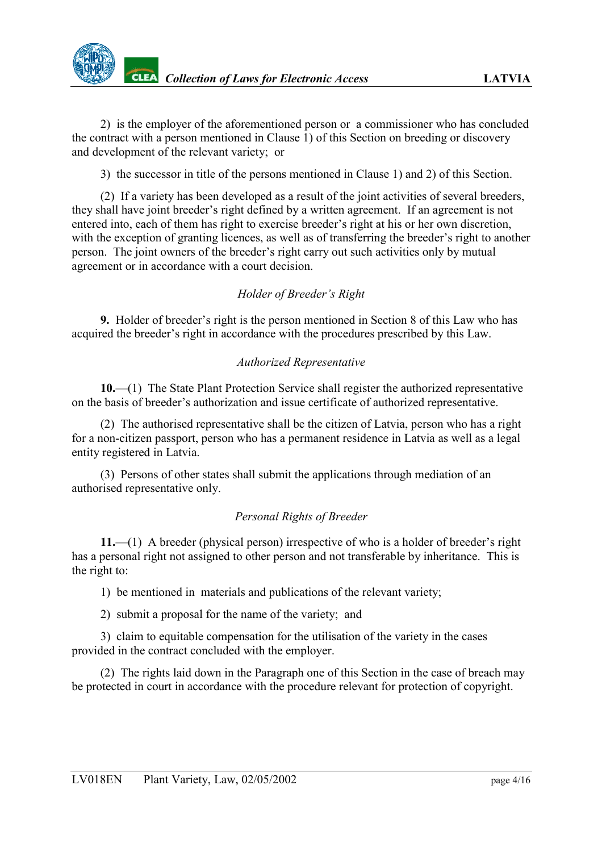2) is the employer of the aforementioned person or a commissioner who has concluded the contract with a person mentioned in Clause 1) of this Section on breeding or discovery and development of the relevant variety; or

3) the successor in title of the persons mentioned in Clause 1) and 2) of this Section.

(2) If a variety has been developed as a result of the joint activities of several breeders, they shall have joint breeder's right defined by a written agreement. If an agreement is not entered into, each of them has right to exercise breeder's right at his or her own discretion, with the exception of granting licences, as well as of transferring the breeder's right to another person. The joint owners of the breeder's right carry out such activities only by mutual agreement or in accordance with a court decision.

# <span id="page-3-0"></span>*Holder of Breeder's Right*

**9.** Holder of breeder's right is the person mentioned in Section 8 of this Law who has acquired the breeder's right in accordance with the procedures prescribed by this Law.

### <span id="page-3-1"></span>*Authorized Representative*

**10.**—(1) The State Plant Protection Service shall register the authorized representative on the basis of breeder's authorization and issue certificate of authorized representative.

(2) The authorised representative shall be the citizen of Latvia, person who has a right for a non-citizen passport, person who has a permanent residence in Latvia as well as a legal entity registered in Latvia.

(3) Persons of other states shall submit the applications through mediation of an authorised representative only.

# <span id="page-3-2"></span>*Personal Rights of Breeder*

**11.**—(1) A breeder (physical person) irrespective of who is a holder of breeder's right has a personal right not assigned to other person and not transferable by inheritance. This is the right to:

1) be mentioned in materials and publications of the relevant variety;

2) submit a proposal for the name of the variety; and

3) claim to equitable compensation for the utilisation of the variety in the cases provided in the contract concluded with the employer.

(2) The rights laid down in the Paragraph one of this Section in the case of breach may be protected in court in accordance with the procedure relevant for protection of copyright.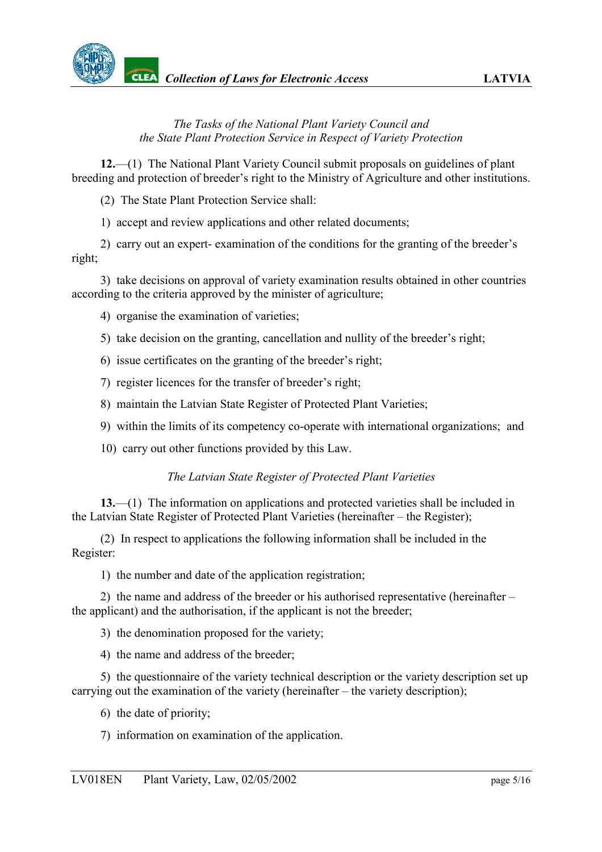

## <span id="page-4-0"></span>*The Tasks of the National Plant Variety Council and the State Plant Protection Service in Respect of Variety Protection*

**12.**—(1) The National Plant Variety Council submit proposals on guidelines of plant breeding and protection of breeder's right to the Ministry of Agriculture and other institutions.

(2) The State Plant Protection Service shall:

1) accept and review applications and other related documents;

2) carry out an expert- examination of the conditions for the granting of the breeder's right;

3) take decisions on approval of variety examination results obtained in other countries according to the criteria approved by the minister of agriculture;

- 4) organise the examination of varieties;
- 5) take decision on the granting, cancellation and nullity of the breeder's right;
- 6) issue certificates on the granting of the breeder's right;
- 7) register licences for the transfer of breeder's right;
- 8) maintain the Latvian State Register of Protected Plant Varieties;
- 9) within the limits of its competency co-operate with international organizations; and
- 10) carry out other functions provided by this Law.

#### <span id="page-4-1"></span>*The Latvian State Register of Protected Plant Varieties*

**13.**—(1) The information on applications and protected varieties shall be included in the Latvian State Register of Protected Plant Varieties (hereinafter – the Register);

(2) In respect to applications the following information shall be included in the Register:

1) the number and date of the application registration;

2) the name and address of the breeder or his authorised representative (hereinafter – the applicant) and the authorisation, if the applicant is not the breeder;

- 3) the denomination proposed for the variety;
- 4) the name and address of the breeder;

5) the questionnaire of the variety technical description or the variety description set up carrying out the examination of the variety (hereinafter – the variety description);

6) the date of priority;

7) information on examination of the application.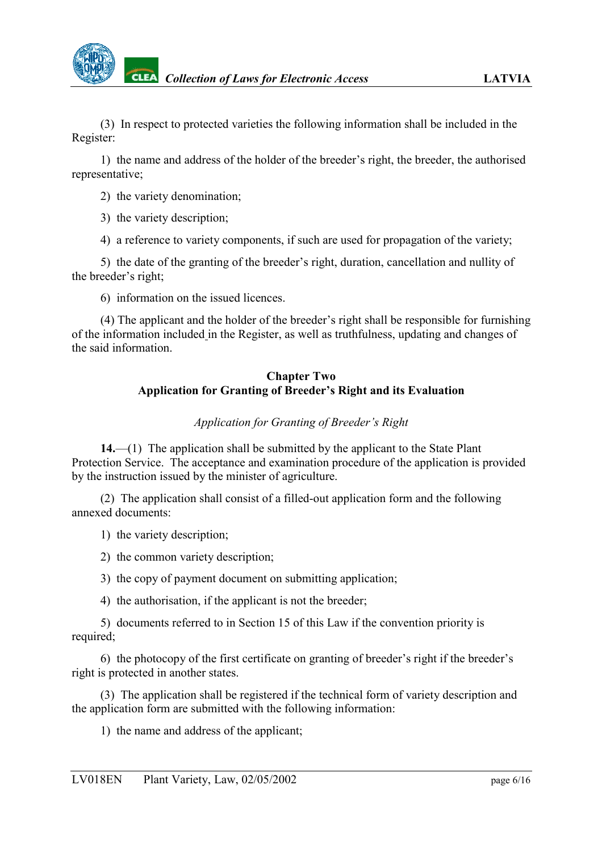

(3) In respect to protected varieties the following information shall be included in the Register:

1) the name and address of the holder of the breeder's right, the breeder, the authorised representative;

- 2) the variety denomination;
- 3) the variety description;

4) a reference to variety components, if such are used for propagation of the variety;

5) the date of the granting of the breeder's right, duration, cancellation and nullity of the breeder's right;

6) information on the issued licences.

(4) The applicant and the holder of the breeder's right shall be responsible for furnishing of the information included in the Register, as well as truthfulness, updating and changes of the said information.

### **Chapter Two Application for Granting of Breeder's Right and its Evaluation**

#### <span id="page-5-0"></span>*Application for Granting of Breeder's Right*

**14.**—(1) The application shall be submitted by the applicant to the State Plant Protection Service. The acceptance and examination procedure of the application is provided by the instruction issued by the minister of agriculture.

(2) The application shall consist of a filled-out application form and the following annexed documents:

- 1) the variety description;
- 2) the common variety description;
- 3) the copy of payment document on submitting application;
- 4) the authorisation, if the applicant is not the breeder;

5) documents referred to in Section 15 of this Law if the convention priority is required;

6) the photocopy of the first certificate on granting of breeder's right if the breeder's right is protected in another states.

(3) The application shall be registered if the technical form of variety description and the application form are submitted with the following information:

1) the name and address of the applicant;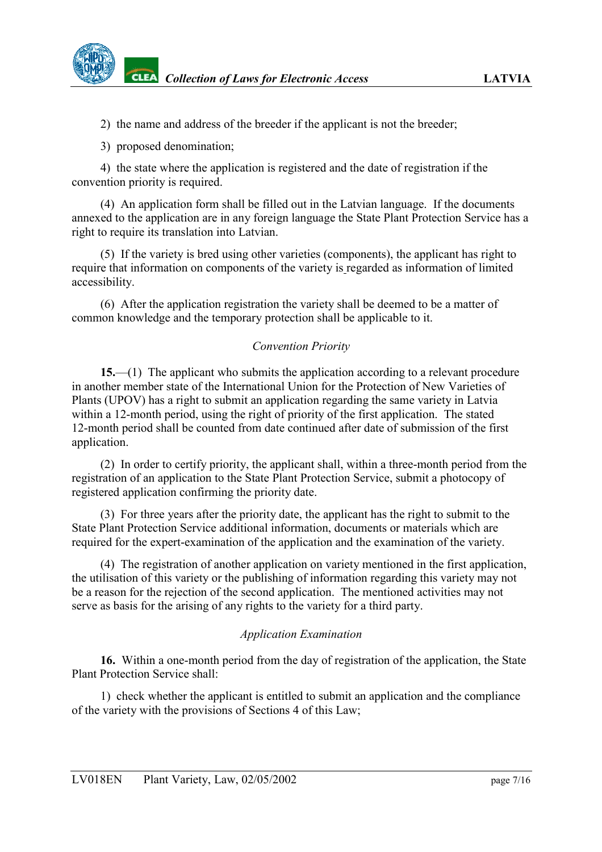2) the name and address of the breeder if the applicant is not the breeder;

3) proposed denomination;

4) the state where the application is registered and the date of registration if the convention priority is required.

(4) An application form shall be filled out in the Latvian language. If the documents annexed to the application are in any foreign language the State Plant Protection Service has a right to require its translation into Latvian.

(5) If the variety is bred using other varieties (components), the applicant has right to require that information on components of the variety is regarded as information of limited accessibility.

(6) After the application registration the variety shall be deemed to be a matter of common knowledge and the temporary protection shall be applicable to it.

### <span id="page-6-0"></span>*Convention Priority*

**15.**—(1) The applicant who submits the application according to a relevant procedure in another member state of the International Union for the Protection of New Varieties of Plants (UPOV) has a right to submit an application regarding the same variety in Latvia within a 12-month period, using the right of priority of the first application. The stated 12-month period shall be counted from date continued after date of submission of the first application.

(2) In order to certify priority, the applicant shall, within a three-month period from the registration of an application to the State Plant Protection Service, submit a photocopy of registered application confirming the priority date.

(3) For three years after the priority date, the applicant has the right to submit to the State Plant Protection Service additional information, documents or materials which are required for the expert-examination of the application and the examination of the variety.

(4) The registration of another application on variety mentioned in the first application, the utilisation of this variety or the publishing of information regarding this variety may not be a reason for the rejection of the second application. The mentioned activities may not serve as basis for the arising of any rights to the variety for a third party.

#### <span id="page-6-1"></span>*Application Examination*

**16.** Within a one-month period from the day of registration of the application, the State Plant Protection Service shall:

1) check whether the applicant is entitled to submit an application and the compliance of the variety with the provisions of Sections 4 of this Law;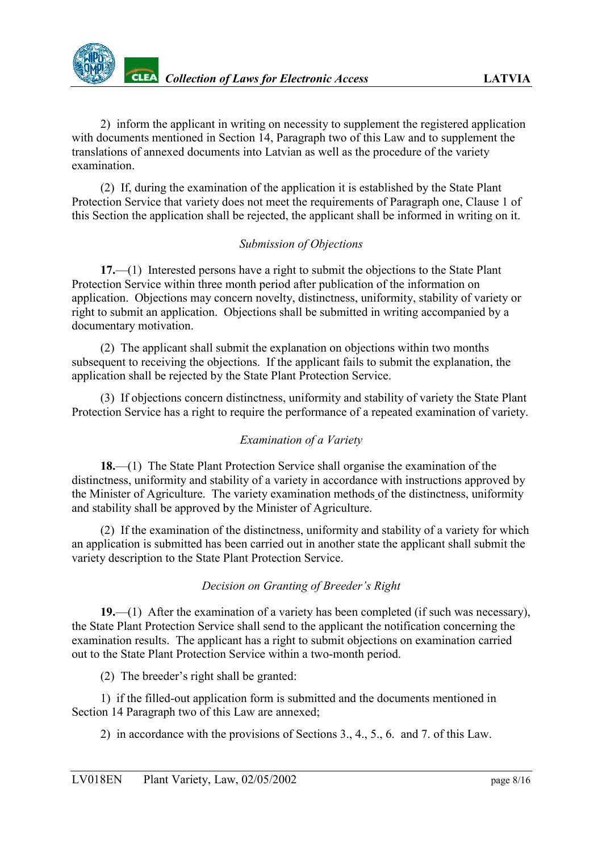

2) inform the applicant in writing on necessity to supplement the registered application with documents mentioned in Section 14, Paragraph two of this Law and to supplement the translations of annexed documents into Latvian as well as the procedure of the variety examination.

(2) If, during the examination of the application it is established by the State Plant Protection Service that variety does not meet the requirements of Paragraph one, Clause 1 of this Section the application shall be rejected, the applicant shall be informed in writing on it.

### <span id="page-7-0"></span>*Submission of Objections*

**17.**—(1) Interested persons have a right to submit the objections to the State Plant Protection Service within three month period after publication of the information on application. Objections may concern novelty, distinctness, uniformity, stability of variety or right to submit an application. Objections shall be submitted in writing accompanied by a documentary motivation.

(2) The applicant shall submit the explanation on objections within two months subsequent to receiving the objections. If the applicant fails to submit the explanation, the application shall be rejected by the State Plant Protection Service.

(3) If objections concern distinctness, uniformity and stability of variety the State Plant Protection Service has a right to require the performance of a repeated examination of variety.

#### <span id="page-7-1"></span>*Examination of a Variety*

**18.**—(1) The State Plant Protection Service shall organise the examination of the distinctness, uniformity and stability of a variety in accordance with instructions approved by the Minister of Agriculture. The variety examination methods of the distinctness, uniformity and stability shall be approved by the Minister of Agriculture.

(2) If the examination of the distinctness, uniformity and stability of a variety for which an application is submitted has been carried out in another state the applicant shall submit the variety description to the State Plant Protection Service.

#### <span id="page-7-2"></span>*Decision on Granting of Breeder's Right*

**19.**—(1) After the examination of a variety has been completed (if such was necessary), the State Plant Protection Service shall send to the applicant the notification concerning the examination results. The applicant has a right to submit objections on examination carried out to the State Plant Protection Service within a two-month period.

(2) The breeder's right shall be granted:

1) if the filled-out application form is submitted and the documents mentioned in Section 14 Paragraph two of this Law are annexed;

2) in accordance with the provisions of Sections 3., 4., 5., 6. and 7. of this Law.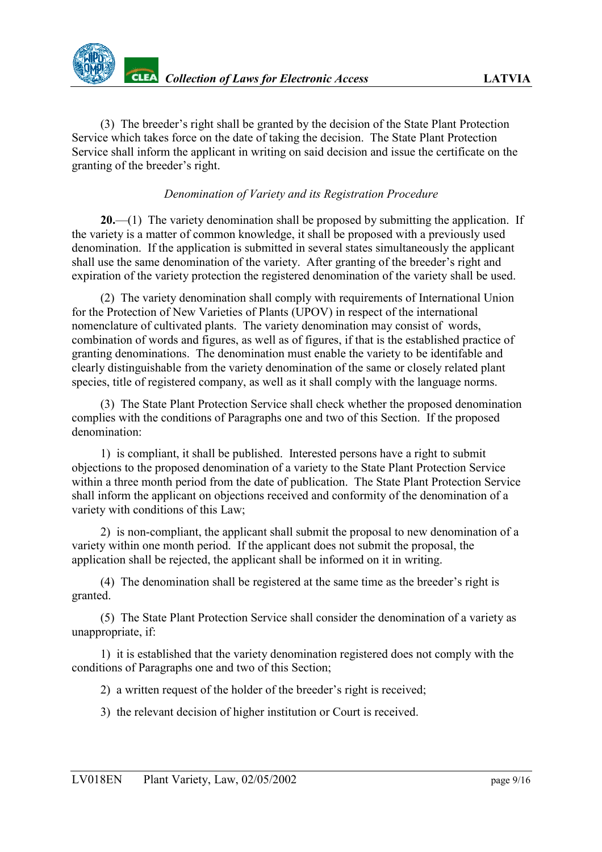(3) The breeder's right shall be granted by the decision of the State Plant Protection Service which takes force on the date of taking the decision. The State Plant Protection Service shall inform the applicant in writing on said decision and issue the certificate on the granting of the breeder's right.

### <span id="page-8-0"></span>*Denomination of Variety and its Registration Procedure*

**20.**—(1) The variety denomination shall be proposed by submitting the application. If the variety is a matter of common knowledge, it shall be proposed with a previously used denomination. If the application is submitted in several states simultaneously the applicant shall use the same denomination of the variety. After granting of the breeder's right and expiration of the variety protection the registered denomination of the variety shall be used.

(2) The variety denomination shall comply with requirements of International Union for the Protection of New Varieties of Plants (UPOV) in respect of the international nomenclature of cultivated plants. The variety denomination may consist of words, combination of words and figures, as well as of figures, if that is the established practice of granting denominations. The denomination must enable the variety to be identifable and clearly distinguishable from the variety denomination of the same or closely related plant species, title of registered company, as well as it shall comply with the language norms.

(3) The State Plant Protection Service shall check whether the proposed denomination complies with the conditions of Paragraphs one and two of this Section. If the proposed denomination:

1) is compliant, it shall be published. Interested persons have a right to submit objections to the proposed denomination of a variety to the State Plant Protection Service within a three month period from the date of publication. The State Plant Protection Service shall inform the applicant on objections received and conformity of the denomination of a variety with conditions of this Law;

2) is non-compliant, the applicant shall submit the proposal to new denomination of a variety within one month period. If the applicant does not submit the proposal, the application shall be rejected, the applicant shall be informed on it in writing.

(4) The denomination shall be registered at the same time as the breeder's right is granted.

(5) The State Plant Protection Service shall consider the denomination of a variety as unappropriate, if:

1) it is established that the variety denomination registered does not comply with the conditions of Paragraphs one and two of this Section;

2) a written request of the holder of the breeder's right is received;

3) the relevant decision of higher institution or Court is received.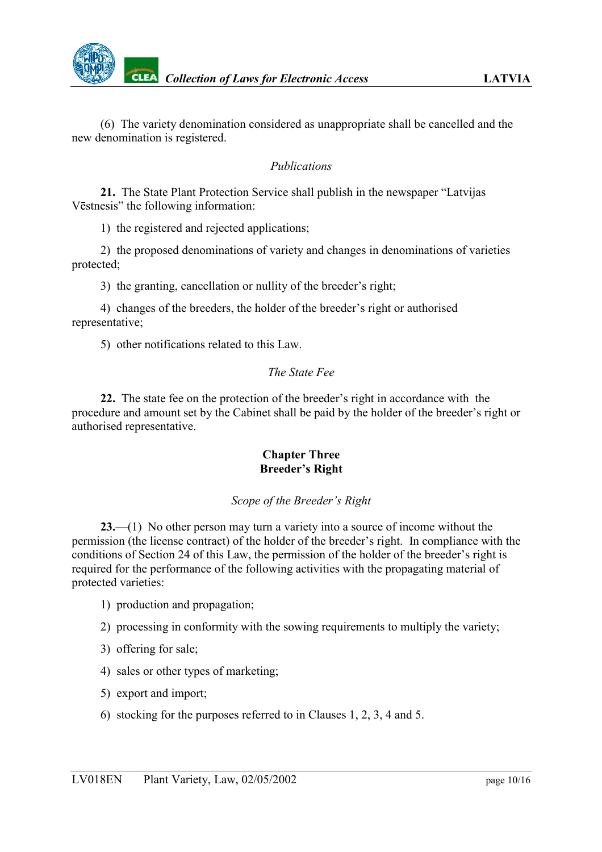(6) The variety denomination considered as unappropriate shall be cancelled and the new denomination is registered.

#### <span id="page-9-0"></span>*Publications*

**21.** The State Plant Protection Service shall publish in the newspaper "Latvijas Vēstnesis" the following information:

1) the registered and rejected applications;

2) the proposed denominations of variety and changes in denominations of varieties protected;

3) the granting, cancellation or nullity of the breeder's right;

4) changes of the breeders, the holder of the breeder's right or authorised representative;

5) other notifications related to this Law.

#### <span id="page-9-1"></span>*The State Fee*

**22.** The state fee on the protection of the breeder's right in accordance with the procedure and amount set by the Cabinet shall be paid by the holder of the breeder's right or authorised representative.

#### **Chapter Three Breeder's Right**

#### <span id="page-9-2"></span>*Scope of the Breeder's Right*

**23.**—(1) No other person may turn a variety into a source of income without the permission (the license contract) of the holder of the breeder's right. In compliance with the conditions of Section 24 of this Law, the permission of the holder of the breeder's right is required for the performance of the following activities with the propagating material of protected varieties:

- 1) production and propagation;
- 2) processing in conformity with the sowing requirements to multiply the variety;
- 3) offering for sale;
- 4) sales or other types of marketing;
- 5) export and import;
- 6) stocking for the purposes referred to in Clauses 1, 2, 3, 4 and 5.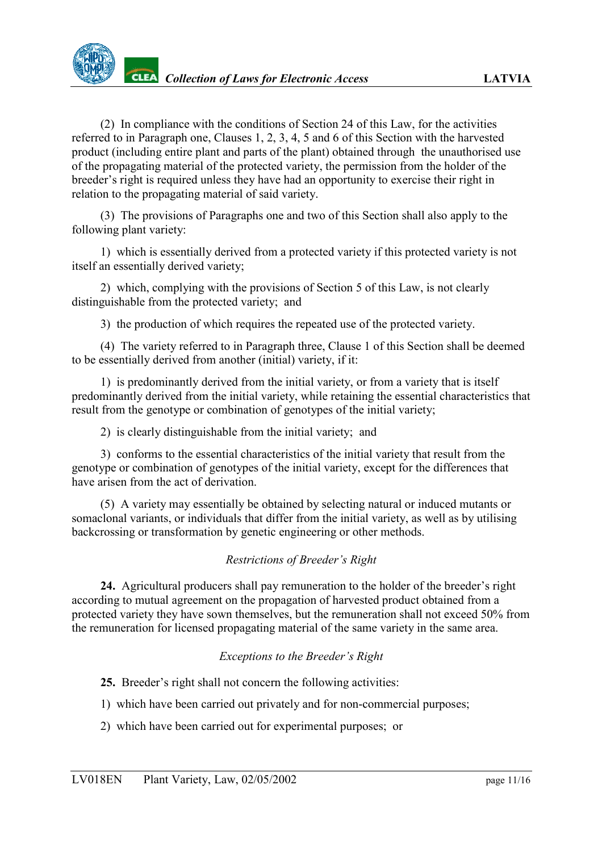(2) In compliance with the conditions of Section 24 of this Law, for the activities referred to in Paragraph one, Clauses 1, 2, 3, 4, 5 and 6 of this Section with the harvested product (including entire plant and parts of the plant) obtained through the unauthorised use of the propagating material of the protected variety, the permission from the holder of the breeder's right is required unless they have had an opportunity to exercise their right in relation to the propagating material of said variety.

(3) The provisions of Paragraphs one and two of this Section shall also apply to the following plant variety:

1) which is essentially derived from a protected variety if this protected variety is not itself an essentially derived variety;

2) which, complying with the provisions of Section 5 of this Law, is not clearly distinguishable from the protected variety; and

3) the production of which requires the repeated use of the protected variety.

(4) The variety referred to in Paragraph three, Clause 1 of this Section shall be deemed to be essentially derived from another (initial) variety, if it:

1) is predominantly derived from the initial variety, or from a variety that is itself predominantly derived from the initial variety, while retaining the essential characteristics that result from the genotype or combination of genotypes of the initial variety;

2) is clearly distinguishable from the initial variety; and

3) conforms to the essential characteristics of the initial variety that result from the genotype or combination of genotypes of the initial variety, except for the differences that have arisen from the act of derivation.

(5) A variety may essentially be obtained by selecting natural or induced mutants or somaclonal variants, or individuals that differ from the initial variety, as well as by utilising backcrossing or transformation by genetic engineering or other methods.

# <span id="page-10-0"></span>*Restrictions of Breeder's Right*

**24.** Agricultural producers shall pay remuneration to the holder of the breeder's right according to mutual agreement on the propagation of harvested product obtained from a protected variety they have sown themselves, but the remuneration shall not exceed 50% from the remuneration for licensed propagating material of the same variety in the same area.

#### <span id="page-10-1"></span>*Exceptions to the Breeder's Right*

**25.** Breeder's right shall not concern the following activities:

- 1) which have been carried out privately and for non-commercial purposes;
- 2) which have been carried out for experimental purposes; or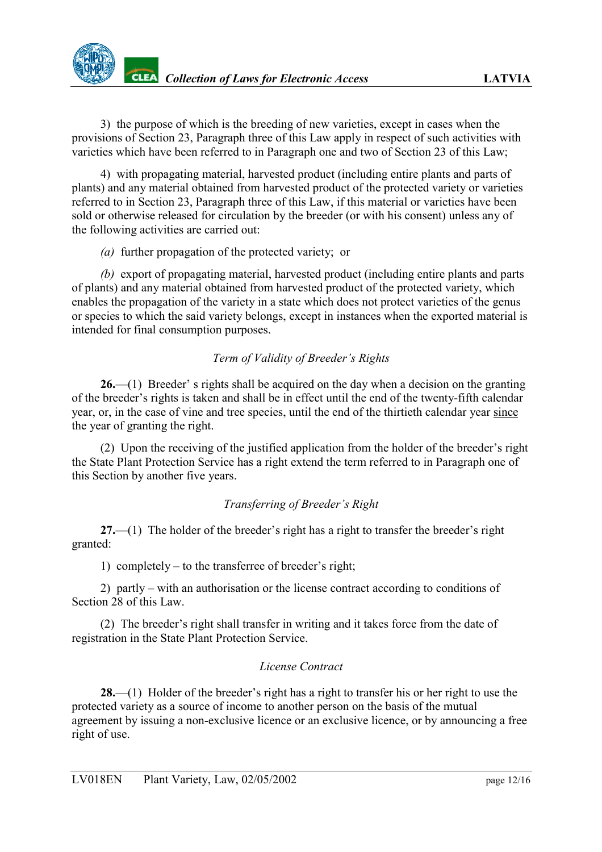3) the purpose of which is the breeding of new varieties, except in cases when the provisions of Section 23, Paragraph three of this Law apply in respect of such activities with varieties which have been referred to in Paragraph one and two of Section 23 of this Law;

4) with propagating material, harvested product (including entire plants and parts of plants) and any material obtained from harvested product of the protected variety or varieties referred to in Section 23, Paragraph three of this Law, if this material or varieties have been sold or otherwise released for circulation by the breeder (or with his consent) unless any of the following activities are carried out:

*(a)* further propagation of the protected variety; or

*(b)* export of propagating material, harvested product (including entire plants and parts of plants) and any material obtained from harvested product of the protected variety, which enables the propagation of the variety in a state which does not protect varieties of the genus or species to which the said variety belongs, except in instances when the exported material is intended for final consumption purposes.

# <span id="page-11-0"></span>*Term of Validity of Breeder's Rights*

**26.**—(1) Breeder' s rights shall be acquired on the day when a decision on the granting of the breeder's rights is taken and shall be in effect until the end of the twenty-fifth calendar year, or, in the case of vine and tree species, until the end of the thirtieth calendar year since the year of granting the right.

(2) Upon the receiving of the justified application from the holder of the breeder's right the State Plant Protection Service has a right extend the term referred to in Paragraph one of this Section by another five years.

# <span id="page-11-1"></span>*Transferring of Breeder's Right*

**27.**—(1) The holder of the breeder's right has a right to transfer the breeder's right granted:

1) completely – to the transferree of breeder's right;

2) partly – with an authorisation or the license contract according to conditions of Section 28 of this Law.

(2) The breeder's right shall transfer in writing and it takes force from the date of registration in the State Plant Protection Service.

# <span id="page-11-2"></span>*License Contract*

**28.**—(1) Holder of the breeder's right has a right to transfer his or her right to use the protected variety as a source of income to another person on the basis of the mutual agreement by issuing a non-exclusive licence or an exclusive licence, or by announcing a free right of use.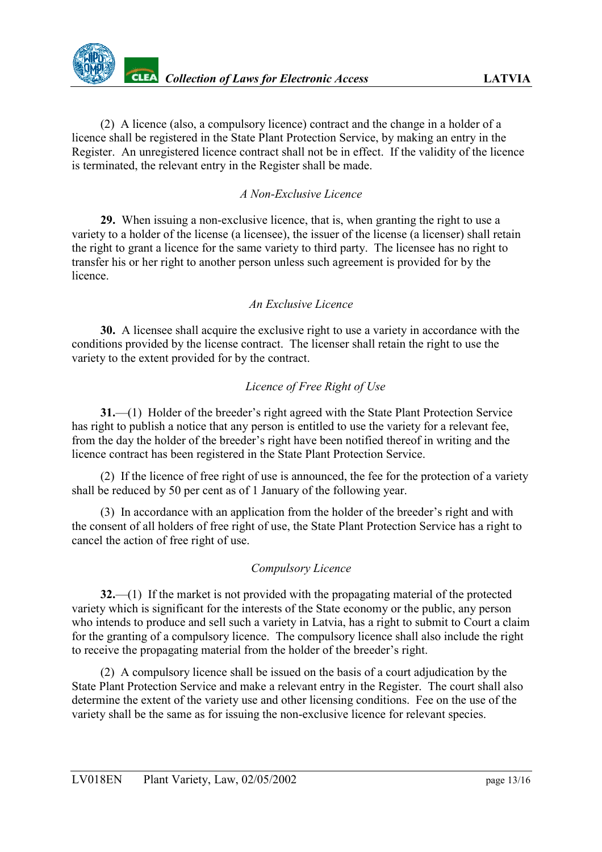(2) A licence (also, a compulsory licence) contract and the change in a holder of a licence shall be registered in the State Plant Protection Service, by making an entry in the Register. An unregistered licence contract shall not be in effect. If the validity of the licence is terminated, the relevant entry in the Register shall be made.

## <span id="page-12-0"></span>*A Non-Exclusive Licence*

**29.** When issuing a non-exclusive licence, that is, when granting the right to use a variety to a holder of the license (a licensee), the issuer of the license (a licenser) shall retain the right to grant a licence for the same variety to third party. The licensee has no right to transfer his or her right to another person unless such agreement is provided for by the licence.

#### <span id="page-12-1"></span>*An Exclusive Licence*

**30.** A licensee shall acquire the exclusive right to use a variety in accordance with the conditions provided by the license contract. The licenser shall retain the right to use the variety to the extent provided for by the contract.

### <span id="page-12-2"></span>*Licence of Free Right of Use*

**31.**—(1) Holder of the breeder's right agreed with the State Plant Protection Service has right to publish a notice that any person is entitled to use the variety for a relevant fee, from the day the holder of the breeder's right have been notified thereof in writing and the licence contract has been registered in the State Plant Protection Service.

(2) If the licence of free right of use is announced, the fee for the protection of a variety shall be reduced by 50 per cent as of 1 January of the following year.

(3) In accordance with an application from the holder of the breeder's right and with the consent of all holders of free right of use, the State Plant Protection Service has a right to cancel the action of free right of use.

#### <span id="page-12-3"></span>*Compulsory Licence*

**32.**—(1) If the market is not provided with the propagating material of the protected variety which is significant for the interests of the State economy or the public, any person who intends to produce and sell such a variety in Latvia, has a right to submit to Court a claim for the granting of a compulsory licence. The compulsory licence shall also include the right to receive the propagating material from the holder of the breeder's right.

(2) A compulsory licence shall be issued on the basis of a court adjudication by the State Plant Protection Service and make a relevant entry in the Register. The court shall also determine the extent of the variety use and other licensing conditions. Fee on the use of the variety shall be the same as for issuing the non-exclusive licence for relevant species.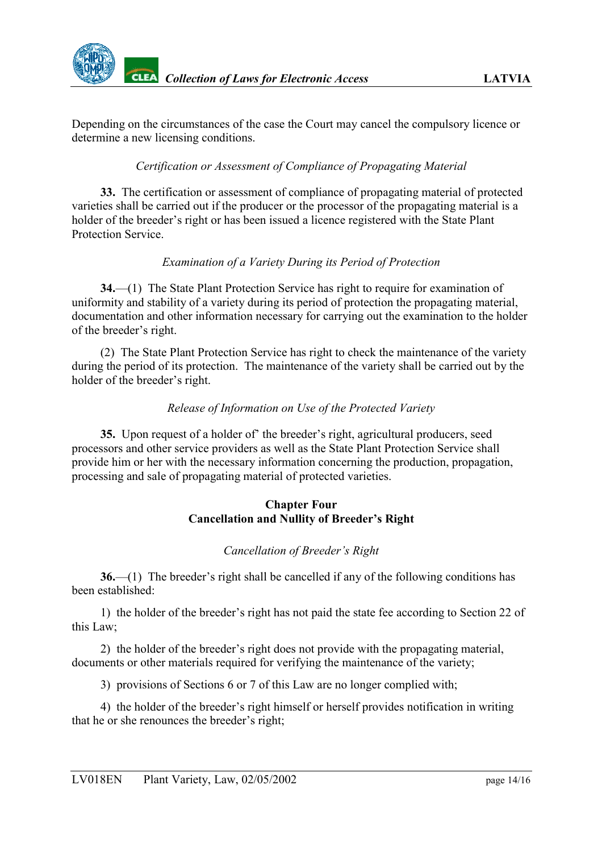Depending on the circumstances of the case the Court may cancel the compulsory licence or determine a new licensing conditions.

# <span id="page-13-0"></span>*Certification or Assessment of Compliance of Propagating Material*

**33.** The certification or assessment of compliance of propagating material of protected varieties shall be carried out if the producer or the processor of the propagating material is a holder of the breeder's right or has been issued a licence registered with the State Plant Protection Service.

# <span id="page-13-1"></span>*Examination of a Variety During its Period of Protection*

**34.**—(1) The State Plant Protection Service has right to require for examination of uniformity and stability of a variety during its period of protection the propagating material, documentation and other information necessary for carrying out the examination to the holder of the breeder's right.

(2) The State Plant Protection Service has right to check the maintenance of the variety during the period of its protection. The maintenance of the variety shall be carried out by the holder of the breeder's right.

#### <span id="page-13-2"></span>*Release of Information on Use of the Protected Variety*

**35.** Upon request of a holder of' the breeder's right, agricultural producers, seed processors and other service providers as well as the State Plant Protection Service shall provide him or her with the necessary information concerning the production, propagation, processing and sale of propagating material of protected varieties.

#### **Chapter Four Cancellation and Nullity of Breeder's Right**

#### <span id="page-13-3"></span>*Cancellation of Breeder's Right*

**36.**—(1) The breeder's right shall be cancelled if any of the following conditions has been established:

1) the holder of the breeder's right has not paid the state fee according to Section 22 of this Law;

2) the holder of the breeder's right does not provide with the propagating material, documents or other materials required for verifying the maintenance of the variety;

3) provisions of Sections 6 or 7 of this Law are no longer complied with;

4) the holder of the breeder's right himself or herself provides notification in writing that he or she renounces the breeder's right;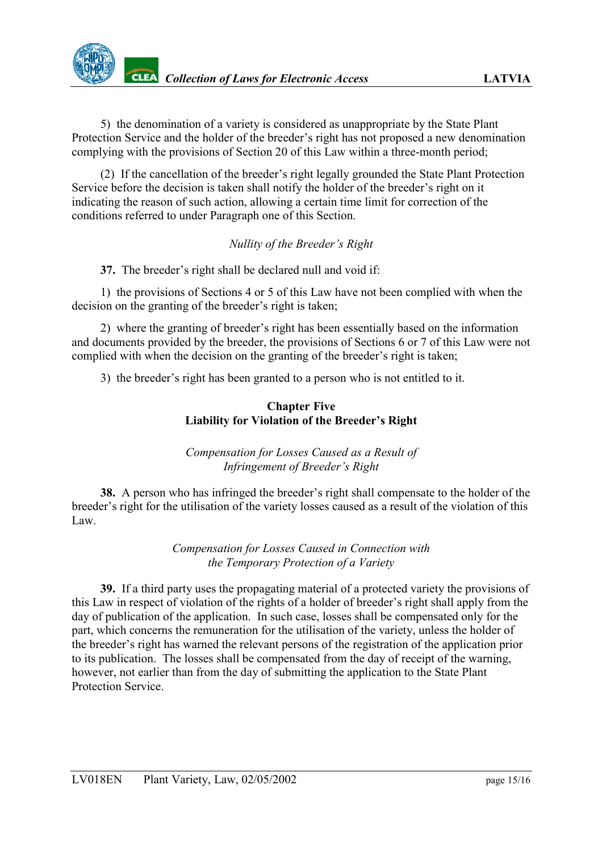5) the denomination of a variety is considered as unappropriate by the State Plant Protection Service and the holder of the breeder's right has not proposed a new denomination complying with the provisions of Section 20 of this Law within a three-month period;

(2) If the cancellation of the breeder's right legally grounded the State Plant Protection Service before the decision is taken shall notify the holder of the breeder's right on it indicating the reason of such action, allowing a certain time limit for correction of the conditions referred to under Paragraph one of this Section.

# <span id="page-14-0"></span>*Nullity of the Breeder's Right*

**37.** The breeder's right shall be declared null and void if:

1) the provisions of Sections 4 or 5 of this Law have not been complied with when the decision on the granting of the breeder's right is taken;

2) where the granting of breeder's right has been essentially based on the information and documents provided by the breeder, the provisions of Sections 6 or 7 of this Law were not complied with when the decision on the granting of the breeder's right is taken;

3) the breeder's right has been granted to a person who is not entitled to it.

## **Chapter Five Liability for Violation of the Breeder's Right**

<span id="page-14-1"></span>*Compensation for Losses Caused as a Result of Infringement of Breeder's Right*

**38.** A person who has infringed the breeder's right shall compensate to the holder of the breeder's right for the utilisation of the variety losses caused as a result of the violation of this Law.

> <span id="page-14-2"></span>*Compensation for Losses Caused in Connection with the Temporary Protection of a Variety*

**39.** If a third party uses the propagating material of a protected variety the provisions of this Law in respect of violation of the rights of a holder of breeder's right shall apply from the day of publication of the application. In such case, losses shall be compensated only for the part, which concerns the remuneration for the utilisation of the variety, unless the holder of the breeder's right has warned the relevant persons of the registration of the application prior to its publication. The losses shall be compensated from the day of receipt of the warning, however, not earlier than from the day of submitting the application to the State Plant Protection Service.